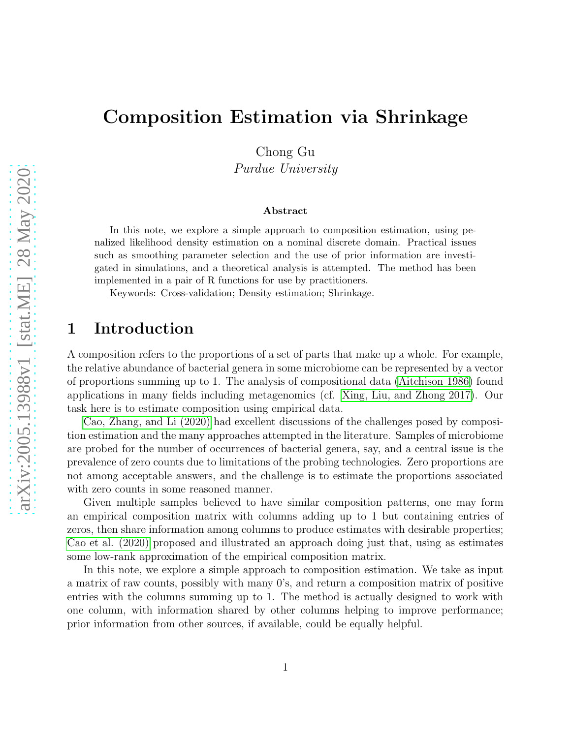# Composition Estimation via Shrinkage

Chong Gu

Purdue University

#### Abstract

In this note, we explore a simple approach to composition estimation, using penalized likelihood density estimation on a nominal discrete domain. Practical issues such as smoothing parameter selection and the use of prior information are investigated in simulations, and a theoretical analysis is attempted. The method has been implemented in a pair of R functions for use by practitioners.

Keywords: Cross-validation; Density estimation; Shrinkage.

# 1 Introduction

A composition refers to the proportions of a set of parts that make up a whole. For example, the relative abundance of bacterial genera in some microbiome can be represented by a vector of proportions summing up to 1. The analysis of compositional data [\(Aitchison 1986\)](#page-6-0) found applications in many fields including metagenomics (cf. [Xing, Liu, and Zhong 2017\)](#page-6-1). Our task here is to estimate composition using empirical data.

[Cao, Zhang, and Li \(2020\)](#page-6-2) had excellent discussions of the challenges posed by composition estimation and the many approaches attempted in the literature. Samples of microbiome are probed for the number of occurrences of bacterial genera, say, and a central issue is the prevalence of zero counts due to limitations of the probing technologies. Zero proportions are not among acceptable answers, and the challenge is to estimate the proportions associated with zero counts in some reasoned manner.

Given multiple samples believed to have similar composition patterns, one may form an empirical composition matrix with columns adding up to 1 but containing entries of zeros, then share information among columns to produce estimates with desirable properties; [Cao et al. \(2020\)](#page-6-2) proposed and illustrated an approach doing just that, using as estimates some low-rank approximation of the empirical composition matrix.

In this note, we explore a simple approach to composition estimation. We take as input a matrix of raw counts, possibly with many 0's, and return a composition matrix of positive entries with the columns summing up to 1. The method is actually designed to work with one column, with information shared by other columns helping to improve performance; prior information from other sources, if available, could be equally helpful.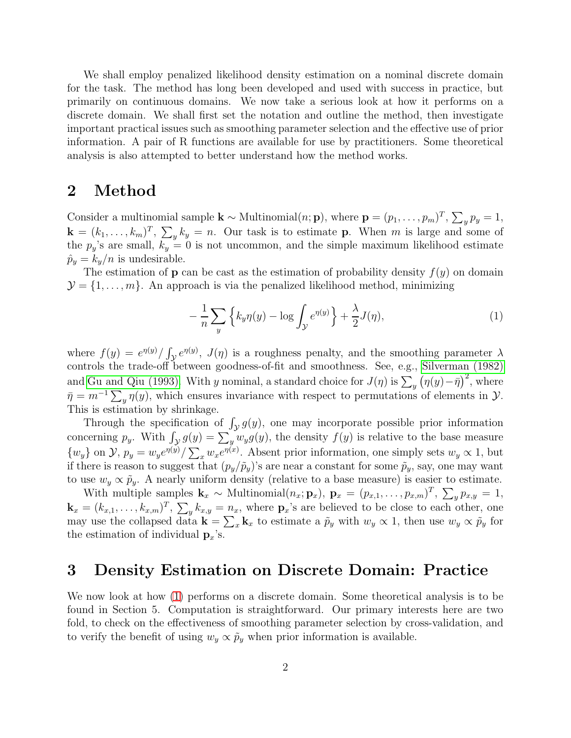We shall employ penalized likelihood density estimation on a nominal discrete domain for the task. The method has long been developed and used with success in practice, but primarily on continuous domains. We now take a serious look at how it performs on a discrete domain. We shall first set the notation and outline the method, then investigate important practical issues such as smoothing parameter selection and the effective use of prior information. A pair of R functions are available for use by practitioners. Some theoretical analysis is also attempted to better understand how the method works.

### 2 Method

Consider a multinomial sample  $\mathbf{k} \sim \text{Multinomial}(n; \mathbf{p})$ , where  $\mathbf{p} = (p_1, \ldots, p_m)^T$ ,  $\sum_{y} p_y = 1$ ,  $\mathbf{k} = (k_1, \ldots, k_m)^T$ ,  $\sum_{y} k_y = n$ . Our task is to estimate **p**. When m is large and some of the  $p_y$ 's are small,  $k_y = 0$  is not uncommon, and the simple maximum likelihood estimate  $\hat{p}_y = k_y/n$  is undesirable.

The estimation of **p** can be cast as the estimation of probability density  $f(y)$  on domain  $\mathcal{Y} = \{1, \ldots, m\}$ . An approach is via the penalized likelihood method, minimizing

<span id="page-1-0"></span>
$$
-\frac{1}{n}\sum_{y}\left\{k_{y}\eta(y)-\log\int_{\mathcal{Y}}e^{\eta(y)}\right\}+\frac{\lambda}{2}J(\eta),\tag{1}
$$

where  $f(y) = e^{\eta(y)} / \int_{\mathcal{Y}} e^{\eta(y)}$ ,  $J(\eta)$  is a roughness penalty, and the smoothing parameter  $\lambda$ controls the trade-off between goodness-of-fit and smoothness. See, e.g., [Silverman \(1982\)](#page-6-3) and [Gu and Qiu \(1993\).](#page-6-4) With y nominal, a standard choice for  $J(\eta)$  is  $\sum_{y} (\eta(y) - \bar{\eta})^2$ , where  $\bar{\eta} = m^{-1} \sum_{y} \eta(y)$ , which ensures invariance with respect to permutations of elements in  $\mathcal{Y}$ . This is estimation by shrinkage.

Through the specification of  $\int_{\mathcal{Y}} g(y)$ , one may incorporate possible prior information concerning  $p_y$ . With  $\int_{\mathcal{Y}} g(y) = \sum_y w_y g(y)$ , the density  $f(y)$  is relative to the base measure  $\{w_y\}$  on  $\mathcal{Y}, p_y = w_y e^{\eta(y)} / \sum_x w_x e^{\eta(x)}$ . Absent prior information, one simply sets  $w_y \propto 1$ , but if there is reason to suggest that  $(p_y/\tilde{p}_y)$ 's are near a constant for some  $\tilde{p}_y$ , say, one may want to use  $w_y \propto \tilde{p}_y$ . A nearly uniform density (relative to a base measure) is easier to estimate.

With multiple samples  $\mathbf{k}_x \sim \text{Multinomial}(n_x; \mathbf{p}_x)$ ,  $\mathbf{p}_x = (p_{x,1}, \ldots, p_{x,m})^T$ ,  $\sum_y p_{x,y} = 1$ ,  $\mathbf{k}_x = (k_{x,1}, \ldots, k_{x,m})^T$ ,  $\sum_{y} k_{x,y} = n_x$ , where  $\mathbf{p}_x$ 's are believed to be close to each other, one may use the collapsed data  $\mathbf{k} = \sum_x \mathbf{k}_x$  to estimate a  $\tilde{p}_y$  with  $w_y \propto 1$ , then use  $w_y \propto \tilde{p}_y$  for the estimation of individual  $\mathbf{p}_x$ 's.

### 3 Density Estimation on Discrete Domain: Practice

We now look at how [\(1\)](#page-1-0) performs on a discrete domain. Some theoretical analysis is to be found in Section 5. Computation is straightforward. Our primary interests here are two fold, to check on the effectiveness of smoothing parameter selection by cross-validation, and to verify the benefit of using  $w_y \propto \tilde{p}_y$  when prior information is available.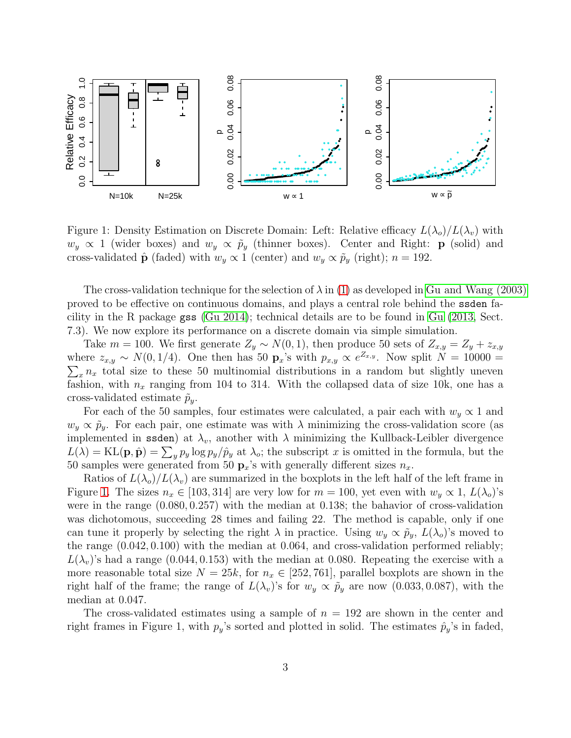

<span id="page-2-0"></span>Figure 1: Density Estimation on Discrete Domain: Left: Relative efficacy  $L(\lambda_o)/L(\lambda_v)$  with  $w_y \propto 1$  (wider boxes) and  $w_y \propto \tilde{p}_y$  (thinner boxes). Center and Right: **p** (solid) and cross-validated  $\hat{\mathbf{p}}$  (faded) with  $w_y \propto 1$  (center) and  $w_y \propto \tilde{p}_y$  (right);  $n = 192$ .

The cross-validation technique for the selection of  $\lambda$  in [\(1\)](#page-1-0) as developed in [Gu and Wang \(2003\)](#page-6-5) proved to be effective on continuous domains, and plays a central role behind the ssden facility in the R package gss [\(Gu 2014\)](#page-6-6); technical details are to be found in [Gu \(2013,](#page-6-7) Sect. 7.3). We now explore its performance on a discrete domain via simple simulation.

Take  $m = 100$ . We first generate  $Z_y \sim N(0, 1)$ , then produce 50 sets of  $Z_{x,y} = Z_y + z_{x,y}$ where  $z_{x,y} \sim N(0, 1/4)$ . One then has 50  $\mathbf{p}_x$ 's with  $p_{x,y} \propto e^{Z_{x,y}}$ . Now split  $N = 10000 =$  $\sum_{x} n_x$  total size to these 50 multinomial distributions in a random but slightly uneven fashion, with  $n_x$  ranging from 104 to 314. With the collapsed data of size 10k, one has a cross-validated estimate  $\tilde{p}_y$ .

For each of the 50 samples, four estimates were calculated, a pair each with  $w_y \propto 1$  and  $w_y \propto \tilde{p}_y$ . For each pair, one estimate was with  $\lambda$  minimizing the cross-validation score (as implemented in ssden) at  $\lambda_v$ , another with  $\lambda$  minimizing the Kullback-Leibler divergence  $L(\lambda) = \text{KL}(\mathbf{p}, \hat{\mathbf{p}}) = \sum_{y} p_y \log p_y / \hat{p}_y$  at  $\lambda_o$ ; the subscript x is omitted in the formula, but the 50 samples were generated from 50  $\mathbf{p}_x$ 's with generally different sizes  $n_x$ .

Ratios of  $L(\lambda_o)/L(\lambda_v)$  are summarized in the boxplots in the left half of the left frame in Figure [1.](#page-2-0) The sizes  $n_x \in [103, 314]$  are very low for  $m = 100$ , yet even with  $w_y \propto 1$ ,  $L(\lambda_o)$ 's were in the range (0.080, 0.257) with the median at 0.138; the bahavior of cross-validation was dichotomous, succeeding 28 times and failing 22. The method is capable, only if one can tune it properly by selecting the right  $\lambda$  in practice. Using  $w_y \propto \tilde{p}_y$ ,  $L(\lambda_o)$ 's moved to the range (0.042, 0.100) with the median at 0.064, and cross-validation performed reliably;  $L(\lambda_v)$ 's had a range (0.044, 0.153) with the median at 0.080. Repeating the exercise with a more reasonable total size  $N = 25k$ , for  $n_x \in [252, 761]$ , parallel boxplots are shown in the right half of the frame; the range of  $L(\lambda_v)$ 's for  $w_y \propto \tilde{p}_y$  are now (0.033, 0.087), with the median at 0.047.

The cross-validated estimates using a sample of  $n = 192$  are shown in the center and right frames in Figure 1, with  $p_y$ 's sorted and plotted in solid. The estimates  $\hat{p}_y$ 's in faded,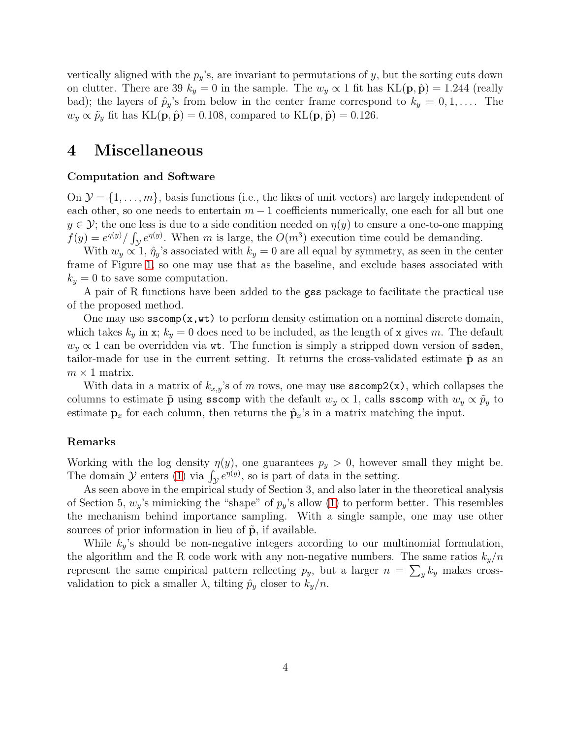vertically aligned with the  $p_y$ 's, are invariant to permutations of y, but the sorting cuts down on clutter. There are 39  $k_y = 0$  in the sample. The  $w_y \propto 1$  fit has KL( $\mathbf{p}, \hat{\mathbf{p}}$ ) = 1.244 (really bad); the layers of  $\hat{p}_y$ 's from below in the center frame correspond to  $k_y = 0, 1, \ldots$ . The  $w_y \propto \tilde{p}_y$  fit has KL $(\mathbf{p}, \hat{\mathbf{p}}) = 0.108$ , compared to KL $(\mathbf{p}, \tilde{\mathbf{p}}) = 0.126$ .

# 4 Miscellaneous

#### Computation and Software

On  $\mathcal{Y} = \{1, \ldots, m\}$ , basis functions (i.e., the likes of unit vectors) are largely independent of each other, so one needs to entertain  $m-1$  coefficients numerically, one each for all but one  $y \in \mathcal{Y}$ ; the one less is due to a side condition needed on  $\eta(y)$  to ensure a one-to-one mapping  $f(y) = e^{\eta(y)}/\int_{\mathcal{Y}} e^{\eta(y)}$ . When m is large, the  $O(m^3)$  execution time could be demanding.

With  $w_y \propto 1$ ,  $\hat{\eta}_y$ 's associated with  $k_y = 0$  are all equal by symmetry, as seen in the center frame of Figure [1,](#page-2-0) so one may use that as the baseline, and exclude bases associated with  $k_y = 0$  to save some computation.

A pair of R functions have been added to the gss package to facilitate the practical use of the proposed method.

One may use  $\mathsf{sscomp}(x,\mathsf{wt})$  to perform density estimation on a nominal discrete domain, which takes  $k_y$  in x;  $k_y = 0$  does need to be included, as the length of x gives m. The default  $w_y \propto 1$  can be overridden via wt. The function is simply a stripped down version of ssden, tailor-made for use in the current setting. It returns the cross-validated estimate  $\hat{\mathbf{p}}$  as an  $m \times 1$  matrix.

With data in a matrix of  $k_{x,y}$ 's of m rows, one may use  $\text{sscomp2}(x)$ , which collapses the columns to estimate  $\tilde{p}$  using sscomp with the default  $w_y \propto 1$ , calls sscomp with  $w_y \propto \tilde{p}_y$  to estimate  $\mathbf{p}_x$  for each column, then returns the  $\hat{\mathbf{p}}_x$ 's in a matrix matching the input.

#### Remarks

Working with the log density  $\eta(y)$ , one guarantees  $p_y > 0$ , however small they might be. The domain  $\mathcal Y$  enters [\(1\)](#page-1-0) via  $\int_{\mathcal Y} e^{\eta(y)}$ , so is part of data in the setting.

As seen above in the empirical study of Section 3, and also later in the theoretical analysis of Section 5,  $w_y$ 's mimicking the "shape" of  $p_y$ 's allow [\(1\)](#page-1-0) to perform better. This resembles the mechanism behind importance sampling. With a single sample, one may use other sources of prior information in lieu of  $\tilde{p}$ , if available.

While  $k_y$ 's should be non-negative integers according to our multinomial formulation, the algorithm and the R code work with any non-negative numbers. The same ratios  $k_y/n$ represent the same empirical pattern reflecting  $p_y$ , but a larger  $n = \sum_y k_y$  makes crossvalidation to pick a smaller  $\lambda$ , tilting  $\hat{p}_y$  closer to  $k_y/n$ .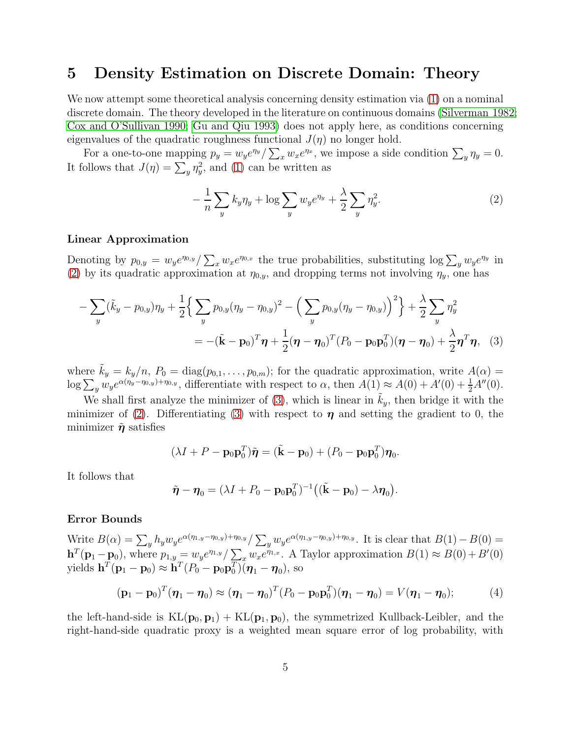### 5 Density Estimation on Discrete Domain: Theory

We now attempt some theoretical analysis concerning density estimation via  $(1)$  on a nominal discrete domain. The theory developed in the literature on continuous domains [\(Silverman 1982;](#page-6-3) [Cox and O'Sullivan 1990;](#page-6-8) [Gu and Qiu 1993\)](#page-6-4) does not apply here, as conditions concerning eigenvalues of the quadratic roughness functional  $J(\eta)$  no longer hold.

For a one-to-one mapping  $p_y = w_y e^{\eta_y} / \sum_x w_x e^{\eta_x}$ , we impose a side condition  $\sum_y \eta_y = 0$ . It follows that  $J(\eta) = \sum_{y} \eta_y^2$ , and [\(1\)](#page-1-0) can be written as

<span id="page-4-1"></span><span id="page-4-0"></span>
$$
-\frac{1}{n}\sum_{y}k_{y}\eta_{y} + \log \sum_{y}w_{y}e^{\eta_{y}} + \frac{\lambda}{2}\sum_{y}\eta_{y}^{2}.
$$
 (2)

#### Linear Approximation

Denoting by  $p_{0,y} = w_y e^{\eta_{0,y}} / \sum_x w_x e^{\eta_{0,x}}$  the true probabilities, substituting  $\log \sum_y w_y e^{\eta_y}$  in [\(2\)](#page-4-0) by its quadratic approximation at  $\eta_{0,y}$ , and dropping terms not involving  $\eta_y$ , one has

$$
- \sum_{y} (\tilde{k}_{y} - p_{0,y}) \eta_{y} + \frac{1}{2} \Big\{ \sum_{y} p_{0,y} (\eta_{y} - \eta_{0,y})^{2} - \Big( \sum_{y} p_{0,y} (\eta_{y} - \eta_{0,y}) \Big)^{2} \Big\} + \frac{\lambda}{2} \sum_{y} \eta_{y}^{2}
$$
  
= -(\tilde{\mathbf{k}} - \mathbf{p}\_{0})^{T} \boldsymbol{\eta} + \frac{1}{2} (\boldsymbol{\eta} - \boldsymbol{\eta}\_{0})^{T} (P\_{0} - \mathbf{p}\_{0} \mathbf{p}\_{0}^{T}) (\boldsymbol{\eta} - \boldsymbol{\eta}\_{0}) + \frac{\lambda}{2} \boldsymbol{\eta}^{T} \boldsymbol{\eta}, (3)

where  $k_y = k_y/n$ ,  $P_0 = \text{diag}(p_{0,1}, \ldots, p_{0,m})$ ; for the quadratic approximation, write  $A(\alpha)$  $\log \sum_{y} w_{y} e^{\alpha(\eta_{y}-\eta_{0,y})+\eta_{0,y}}$ , differentiate with respect to  $\alpha$ , then  $A(1) \approx A(0) + A'(0) + \frac{1}{2}A''(0)$ .

We shall first analyze the minimizer of  $(3)$ , which is linear in  $k_y$ , then bridge it with the minimizer of [\(2\)](#page-4-0). Differentiating [\(3\)](#page-4-1) with respect to  $\eta$  and setting the gradient to 0, the minimizer  $\tilde{\eta}$  satisfies

$$
(\lambda I + P - \mathbf{p}_0 \mathbf{p}_0^T)\tilde{\boldsymbol{\eta}} = (\tilde{\mathbf{k}} - \mathbf{p}_0) + (P_0 - \mathbf{p}_0 \mathbf{p}_0^T)\boldsymbol{\eta}_0.
$$

It follows that

$$
\tilde{\boldsymbol{\eta}} - \boldsymbol{\eta}_0 = (\lambda I + P_0 - \mathbf{p}_0 \mathbf{p}_0^T)^{-1} ((\tilde{\mathbf{k}} - \mathbf{p}_0) - \lambda \boldsymbol{\eta}_0).
$$

#### Error Bounds

Write  $B(\alpha) = \sum_{y} h_y w_y e^{\alpha(\eta_{1,y}-\eta_{0,y})+\eta_{0,y}} / \sum_{y} w_y e^{\alpha(\eta_{1,y}-\eta_{0,y})+\eta_{0,y}}$ . It is clear that  $B(1)-B(0) =$  $\mathbf{h}^T(\mathbf{p}_1-\mathbf{p}_0)$ , where  $p_{1,y} = w_y e^{\eta_{1,y}} / \sum_{x} w_x e^{\eta_{1,x}}$ . A Taylor approximation  $B(1) \approx B(0) + B'(0)$ yields  $\mathbf{h}^T(\mathbf{p}_1 - \mathbf{p}_0) \approx \mathbf{h}^T (P_0 - \mathbf{p}_0 \mathbf{p}_0^T) (\boldsymbol{\eta}_1 - \boldsymbol{\eta}_0)$ , so

<span id="page-4-2"></span>
$$
(\mathbf{p}_1 - \mathbf{p}_0)^T (\boldsymbol{\eta}_1 - \boldsymbol{\eta}_0) \approx (\boldsymbol{\eta}_1 - \boldsymbol{\eta}_0)^T (P_0 - \mathbf{p}_0 \mathbf{p}_0^T) (\boldsymbol{\eta}_1 - \boldsymbol{\eta}_0) = V(\boldsymbol{\eta}_1 - \boldsymbol{\eta}_0); \tag{4}
$$

the left-hand-side is  $KL(\mathbf{p}_0, \mathbf{p}_1) + KL(\mathbf{p}_1, \mathbf{p}_0)$ , the symmetrized Kullback-Leibler, and the right-hand-side quadratic proxy is a weighted mean square error of log probability, with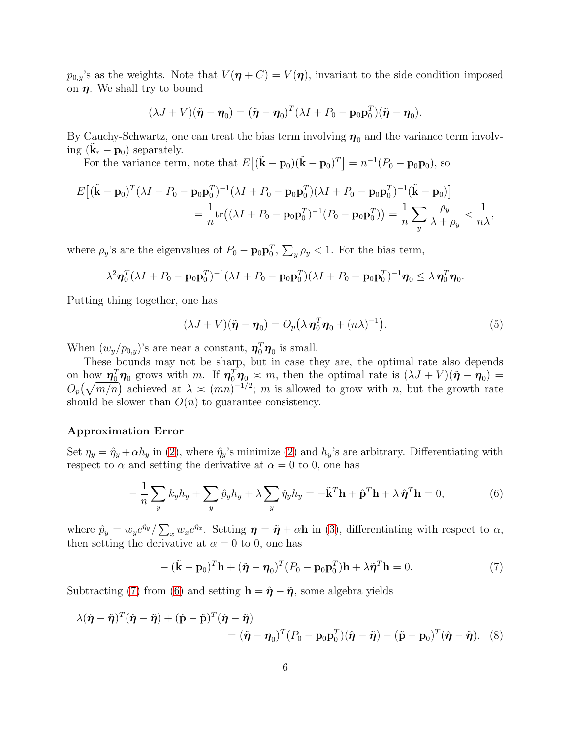$p_{0,y}$ 's as the weights. Note that  $V(\eta + C) = V(\eta)$ , invariant to the side condition imposed on  $\eta$ . We shall try to bound

$$
(\lambda J + V)(\tilde{\boldsymbol{\eta}} - \boldsymbol{\eta}_0) = (\tilde{\boldsymbol{\eta}} - \boldsymbol{\eta}_0)^T (\lambda I + P_0 - \mathbf{p}_0 \mathbf{p}_0^T)(\tilde{\boldsymbol{\eta}} - \boldsymbol{\eta}_0).
$$

By Cauchy-Schwartz, one can treat the bias term involving  $\eta_0$  and the variance term involving  $(\tilde{\mathbf{k}}_r - \mathbf{p}_0)$  separately.

For the variance term, note that  $E[(\tilde{\mathbf{k}} - \mathbf{p}_0)(\tilde{\mathbf{k}} - \mathbf{p}_0)^T] = n^{-1}(P_0 - \mathbf{p}_0 \mathbf{p}_0)$ , so

$$
E[(\tilde{\mathbf{k}} - \mathbf{p}_0)^T (\lambda I + P_0 - \mathbf{p}_0 \mathbf{p}_0^T)^{-1} (\lambda I + P_0 - \mathbf{p}_0 \mathbf{p}_0^T) (\lambda I + P_0 - \mathbf{p}_0 \mathbf{p}_0^T)^{-1} (\tilde{\mathbf{k}} - \mathbf{p}_0)]
$$
  
=  $\frac{1}{n} tr((\lambda I + P_0 - \mathbf{p}_0 \mathbf{p}_0^T)^{-1} (P_0 - \mathbf{p}_0 \mathbf{p}_0^T)) = \frac{1}{n} \sum_y \frac{\rho_y}{\lambda + \rho_y} < \frac{1}{n\lambda}$ ,

where  $\rho_y$ 's are the eigenvalues of  $P_0 - \mathbf{p}_0 \mathbf{p}_0^T$ ,  $\sum_y \rho_y < 1$ . For the bias term,

$$
\lambda^2 \eta_0^T (\lambda I + P_0 - \mathbf{p}_0 \mathbf{p}_0^T)^{-1} (\lambda I + P_0 - \mathbf{p}_0 \mathbf{p}_0^T) (\lambda I + P_0 - \mathbf{p}_0 \mathbf{p}_0^T)^{-1} \eta_0 \leq \lambda \eta_0^T \eta_0.
$$

Putting thing together, one has

<span id="page-5-3"></span>
$$
(\lambda J + V)(\tilde{\boldsymbol{\eta}} - \boldsymbol{\eta}_0) = O_p(\lambda \, \boldsymbol{\eta}_0^T \boldsymbol{\eta}_0 + (n\lambda)^{-1}). \tag{5}
$$

When  $(w_y/p_{0,y})$ 's are near a constant,  $\eta_0^T \eta_0$  is small.

These bounds may not be sharp, but in case they are, the optimal rate also depends on how  $\eta_0^T \eta_0$  grows with m. If  $\eta_0^T \eta_0 \approx m$ , then the optimal rate is  $(\lambda J + V)(\tilde{\eta} - \eta_0) =$  $O_p(\sqrt{m/n})$  achieved at  $\lambda \asymp (mn)^{-1/2}$ ; m is allowed to grow with n, but the growth rate should be slower than  $O(n)$  to guarantee consistency.

#### Approximation Error

Set  $\eta_y = \hat{\eta}_y + \alpha h_y$  in [\(2\)](#page-4-0), where  $\hat{\eta}_y$ 's minimize (2) and  $h_y$ 's are arbitrary. Differentiating with respect to  $\alpha$  and setting the derivative at  $\alpha = 0$  to 0, one has

<span id="page-5-1"></span>
$$
-\frac{1}{n}\sum_{y} k_{y}h_{y} + \sum_{y} \hat{p}_{y}h_{y} + \lambda \sum_{y} \hat{\eta}_{y}h_{y} = -\tilde{\mathbf{k}}^{T}\mathbf{h} + \hat{\mathbf{p}}^{T}\mathbf{h} + \lambda \hat{\boldsymbol{\eta}}^{T}\mathbf{h} = 0,
$$
\n(6)

where  $\hat{p}_y = w_y e^{\hat{\eta}_y} / \sum_x w_x e^{\hat{\eta}_x}$ . Setting  $\eta = \tilde{\eta} + \alpha \mathbf{h}$  in [\(3\)](#page-4-1), differentiating with respect to  $\alpha$ , then setting the derivative at  $\alpha = 0$  to 0, one has

<span id="page-5-2"></span><span id="page-5-0"></span>
$$
-(\tilde{\mathbf{k}}-\mathbf{p}_0)^T \mathbf{h} + (\tilde{\boldsymbol{\eta}}-\boldsymbol{\eta}_0)^T (P_0-\mathbf{p}_0 \mathbf{p}_0^T) \mathbf{h} + \lambda \tilde{\boldsymbol{\eta}}^T \mathbf{h} = 0.
$$
 (7)

Subtracting [\(7\)](#page-5-0) from [\(6\)](#page-5-1) and setting  $\mathbf{h} = \hat{\eta} - \tilde{\eta}$ , some algebra yields

$$
\lambda(\hat{\boldsymbol{\eta}} - \tilde{\boldsymbol{\eta}})^T(\hat{\boldsymbol{\eta}} - \tilde{\boldsymbol{\eta}}) + (\hat{\mathbf{p}} - \tilde{\mathbf{p}})^T(\hat{\boldsymbol{\eta}} - \tilde{\boldsymbol{\eta}})
$$
  
=  $(\tilde{\boldsymbol{\eta}} - \boldsymbol{\eta}_0)^T (P_0 - \mathbf{p}_0 \mathbf{p}_0^T)(\hat{\boldsymbol{\eta}} - \tilde{\boldsymbol{\eta}}) - (\tilde{\mathbf{p}} - \mathbf{p}_0)^T (\hat{\boldsymbol{\eta}} - \tilde{\boldsymbol{\eta}}).$  (8)